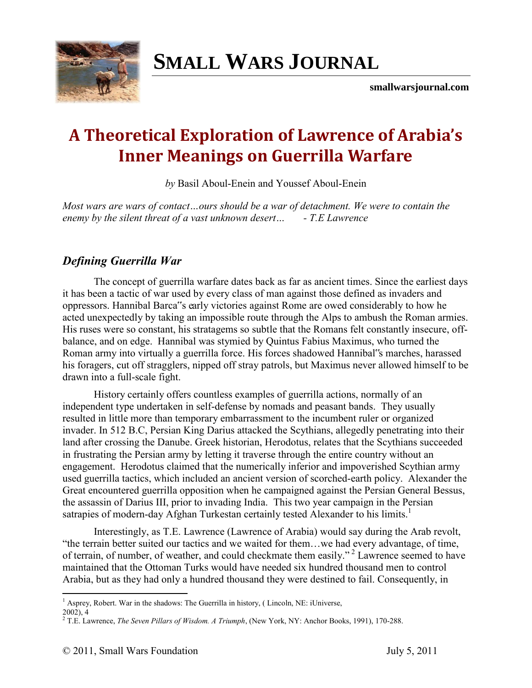

# **SMALL WARS JOURNAL**

**smallwarsjournal.com**

## **A Theoretical Exploration of Lawrence of Arabia's Inner Meanings on Guerrilla Warfare**

*by* Basil Aboul-Enein and Youssef Aboul-Enein

*Most wars are wars of contact…ours should be a war of detachment. We were to contain the enemy by the silent threat of a vast unknown desert… - T.E Lawrence* 

### *Defining Guerrilla War*

The concept of guerrilla warfare dates back as far as ancient times. Since the earliest days it has been a tactic of war used by every class of man against those defined as invaders and oppressors. Hannibal Barca"s early victories against Rome are owed considerably to how he acted unexpectedly by taking an impossible route through the Alps to ambush the Roman armies. His ruses were so constant, his stratagems so subtle that the Romans felt constantly insecure, offbalance, and on edge. Hannibal was stymied by Quintus Fabius Maximus, who turned the Roman army into virtually a guerrilla force. His forces shadowed Hannibal"s marches, harassed his foragers, cut off stragglers, nipped off stray patrols, but Maximus never allowed himself to be drawn into a full-scale fight.

History certainly offers countless examples of guerrilla actions, normally of an independent type undertaken in self-defense by nomads and peasant bands. They usually resulted in little more than temporary embarrassment to the incumbent ruler or organized invader. In 512 B.C, Persian King Darius attacked the Scythians, allegedly penetrating into their land after crossing the Danube. Greek historian, Herodotus, relates that the Scythians succeeded in frustrating the Persian army by letting it traverse through the entire country without an engagement. Herodotus claimed that the numerically inferior and impoverished Scythian army used guerrilla tactics, which included an ancient version of scorched-earth policy. Alexander the Great encountered guerrilla opposition when he campaigned against the Persian General Bessus, the assassin of Darius III, prior to invading India. This two year campaign in the Persian satrapies of modern-day Afghan Turkestan certainly tested Alexander to his limits.<sup>1</sup>

Interestingly, as T.E. Lawrence (Lawrence of Arabia) would say during the Arab revolt, "the terrain better suited our tactics and we waited for them…we had every advantage, of time, of terrain, of number, of weather, and could checkmate them easily."<sup>2</sup> Lawrence seemed to have maintained that the Ottoman Turks would have needed six hundred thousand men to control Arabia, but as they had only a hundred thousand they were destined to fail. Consequently, in

 $\overline{a}$ <sup>1</sup> Asprey, Robert. War in the shadows: The Guerrilla in history, (Lincoln, NE: iUniverse,

 $2002$ ),  $4$ 

<sup>2</sup> T.E. Lawrence, *The Seven Pillars of Wisdom. A Triumph*, (New York, NY: Anchor Books, 1991), 170-288.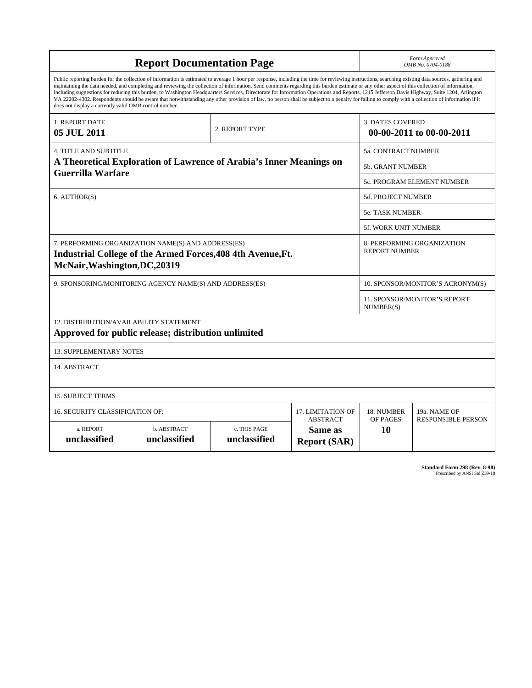| <b>Report Documentation Page</b>                                                                                                                                                                                                                                                                                                                                                                                                                                                                                                                                                                                                                                                                                                                                                                                                                                   |                             |                              |                                                   | Form Approved<br>OMB No. 0704-0188                  |                           |
|--------------------------------------------------------------------------------------------------------------------------------------------------------------------------------------------------------------------------------------------------------------------------------------------------------------------------------------------------------------------------------------------------------------------------------------------------------------------------------------------------------------------------------------------------------------------------------------------------------------------------------------------------------------------------------------------------------------------------------------------------------------------------------------------------------------------------------------------------------------------|-----------------------------|------------------------------|---------------------------------------------------|-----------------------------------------------------|---------------------------|
| Public reporting burden for the collection of information is estimated to average 1 hour per response, including the time for reviewing instructions, searching existing data sources, gathering and<br>maintaining the data needed, and completing and reviewing the collection of information. Send comments regarding this burden estimate or any other aspect of this collection of information,<br>including suggestions for reducing this burden, to Washington Headquarters Services, Directorate for Information Operations and Reports, 1215 Jefferson Davis Highway, Suite 1204, Arlington<br>VA 22202-4302. Respondents should be aware that notwithstanding any other provision of law, no person shall be subject to a penalty for failing to comply with a collection of information if it<br>does not display a currently valid OMB control number. |                             |                              |                                                   |                                                     |                           |
| 1. REPORT DATE<br>05 JUL 2011                                                                                                                                                                                                                                                                                                                                                                                                                                                                                                                                                                                                                                                                                                                                                                                                                                      |                             | 2. REPORT TYPE               |                                                   | <b>3. DATES COVERED</b><br>00-00-2011 to 00-00-2011 |                           |
| <b>4. TITLE AND SUBTITLE</b>                                                                                                                                                                                                                                                                                                                                                                                                                                                                                                                                                                                                                                                                                                                                                                                                                                       |                             |                              |                                                   | 5a. CONTRACT NUMBER                                 |                           |
| A Theoretical Exploration of Lawrence of Arabia's Inner Meanings on<br>Guerrilla Warfare                                                                                                                                                                                                                                                                                                                                                                                                                                                                                                                                                                                                                                                                                                                                                                           |                             |                              |                                                   | 5b. GRANT NUMBER                                    |                           |
|                                                                                                                                                                                                                                                                                                                                                                                                                                                                                                                                                                                                                                                                                                                                                                                                                                                                    |                             |                              |                                                   | 5c. PROGRAM ELEMENT NUMBER                          |                           |
| 6. AUTHOR(S)                                                                                                                                                                                                                                                                                                                                                                                                                                                                                                                                                                                                                                                                                                                                                                                                                                                       |                             |                              |                                                   | 5d. PROJECT NUMBER                                  |                           |
|                                                                                                                                                                                                                                                                                                                                                                                                                                                                                                                                                                                                                                                                                                                                                                                                                                                                    |                             |                              |                                                   | <b>5e. TASK NUMBER</b>                              |                           |
|                                                                                                                                                                                                                                                                                                                                                                                                                                                                                                                                                                                                                                                                                                                                                                                                                                                                    |                             |                              |                                                   | 5f. WORK UNIT NUMBER                                |                           |
| 7. PERFORMING ORGANIZATION NAME(S) AND ADDRESS(ES)<br>Industrial College of the Armed Forces, 408 4th Avenue, Ft.<br>McNair, Washington, DC, 20319                                                                                                                                                                                                                                                                                                                                                                                                                                                                                                                                                                                                                                                                                                                 |                             |                              |                                                   | 8. PERFORMING ORGANIZATION<br><b>REPORT NUMBER</b>  |                           |
| 9. SPONSORING/MONITORING AGENCY NAME(S) AND ADDRESS(ES)                                                                                                                                                                                                                                                                                                                                                                                                                                                                                                                                                                                                                                                                                                                                                                                                            |                             |                              |                                                   | 10. SPONSOR/MONITOR'S ACRONYM(S)                    |                           |
|                                                                                                                                                                                                                                                                                                                                                                                                                                                                                                                                                                                                                                                                                                                                                                                                                                                                    |                             |                              |                                                   | <b>11. SPONSOR/MONITOR'S REPORT</b><br>NUMBER(S)    |                           |
| 12. DISTRIBUTION/AVAILABILITY STATEMENT<br>Approved for public release; distribution unlimited                                                                                                                                                                                                                                                                                                                                                                                                                                                                                                                                                                                                                                                                                                                                                                     |                             |                              |                                                   |                                                     |                           |
| <b>13. SUPPLEMENTARY NOTES</b>                                                                                                                                                                                                                                                                                                                                                                                                                                                                                                                                                                                                                                                                                                                                                                                                                                     |                             |                              |                                                   |                                                     |                           |
| 14. ABSTRACT                                                                                                                                                                                                                                                                                                                                                                                                                                                                                                                                                                                                                                                                                                                                                                                                                                                       |                             |                              |                                                   |                                                     |                           |
| <b>15. SUBJECT TERMS</b>                                                                                                                                                                                                                                                                                                                                                                                                                                                                                                                                                                                                                                                                                                                                                                                                                                           |                             |                              |                                                   |                                                     |                           |
| 16. SECURITY CLASSIFICATION OF:                                                                                                                                                                                                                                                                                                                                                                                                                                                                                                                                                                                                                                                                                                                                                                                                                                    | 17. LIMITATION OF           | 18. NUMBER                   | 19a. NAME OF                                      |                                                     |                           |
| a. REPORT<br>unclassified                                                                                                                                                                                                                                                                                                                                                                                                                                                                                                                                                                                                                                                                                                                                                                                                                                          | b. ABSTRACT<br>unclassified | c. THIS PAGE<br>unclassified | <b>ABSTRACT</b><br>Same as<br><b>Report (SAR)</b> | OF PAGES<br>10                                      | <b>RESPONSIBLE PERSON</b> |

**Standard Form 298 (Rev. 8-98)**<br>Prescribed by ANSI Std Z39-18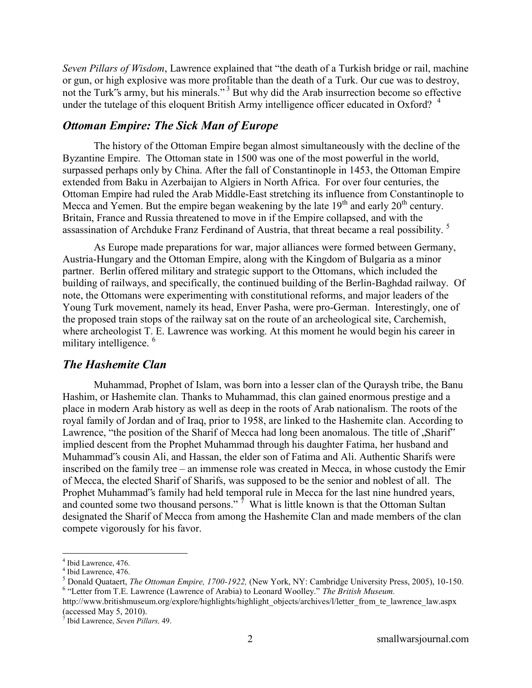*Seven Pillars of Wisdom*, Lawrence explained that "the death of a Turkish bridge or rail, machine or gun, or high explosive was more profitable than the death of a Turk. Our cue was to destroy, not the Turk"s army, but his minerals."<sup>3</sup> But why did the Arab insurrection become so effective under the tutelage of this eloquent British Army intelligence officer educated in Oxford?  $4$ 

#### *Ottoman Empire: The Sick Man of Europe*

The history of the Ottoman Empire began almost simultaneously with the decline of the Byzantine Empire. The Ottoman state in 1500 was one of the most powerful in the world, surpassed perhaps only by China. After the fall of Constantinople in 1453, the Ottoman Empire extended from Baku in Azerbaijan to Algiers in North Africa. For over four centuries, the Ottoman Empire had ruled the Arab Middle-East stretching its influence from Constantinople to Mecca and Yemen. But the empire began weakening by the late  $19<sup>th</sup>$  and early  $20<sup>th</sup>$  century. Britain, France and Russia threatened to move in if the Empire collapsed, and with the assassination of Archduke Franz Ferdinand of Austria, that threat became a real possibility. <sup>5</sup>

As Europe made preparations for war, major alliances were formed between Germany, Austria-Hungary and the Ottoman Empire, along with the Kingdom of Bulgaria as a minor partner. Berlin offered military and strategic support to the Ottomans, which included the building of railways, and specifically, the continued building of the Berlin-Baghdad railway. Of note, the Ottomans were experimenting with constitutional reforms, and major leaders of the Young Turk movement, namely its head, Enver Pasha, were pro-German. Interestingly, one of the proposed train stops of the railway sat on the route of an archeological site, Carchemish, where archeologist T. E. Lawrence was working. At this moment he would begin his career in military intelligence.<sup>6</sup>

#### *The Hashemite Clan*

Muhammad, Prophet of Islam, was born into a lesser clan of the Quraysh tribe, the Banu Hashim, or Hashemite clan. Thanks to Muhammad, this clan gained enormous prestige and a place in modern Arab history as well as deep in the roots of Arab nationalism. The roots of the royal family of Jordan and of Iraq, prior to 1958, are linked to the Hashemite clan. According to Lawrence, "the position of the Sharif of Mecca had long been anomalous. The title of  $\Delta$ Sharif" implied descent from the Prophet Muhammad through his daughter Fatima, her husband and Muhammad"s cousin Ali, and Hassan, the elder son of Fatima and Ali. Authentic Sharifs were inscribed on the family tree – an immense role was created in Mecca, in whose custody the Emir of Mecca, the elected Sharif of Sharifs, was supposed to be the senior and noblest of all. The Prophet Muhammad"s family had held temporal rule in Mecca for the last nine hundred years, and counted some two thousand persons."<sup>7</sup> What is little known is that the Ottoman Sultan designated the Sharif of Mecca from among the Hashemite Clan and made members of the clan compete vigorously for his favor.

<sup>4</sup> Ibid Lawrence, 476.

<sup>4</sup> Ibid Lawrence, 476.

<sup>5</sup> Donald Quataert, *The Ottoman Empire, 1700-1922,* (New York, NY: Cambridge University Press, 2005), 10-150. 6 "Letter from T.E. Lawrence (Lawrence of Arabia) to Leonard Woolley." *The British Museum.* 

http://www.britishmuseum.org/explore/highlights/highlight\_objects/archives/l/letter\_from\_te\_lawrence\_law.aspx  $\frac{1}{2}$  (accessed May 5, 2010).

<sup>7</sup> Ibid Lawrence, *Seven Pillars,* 49.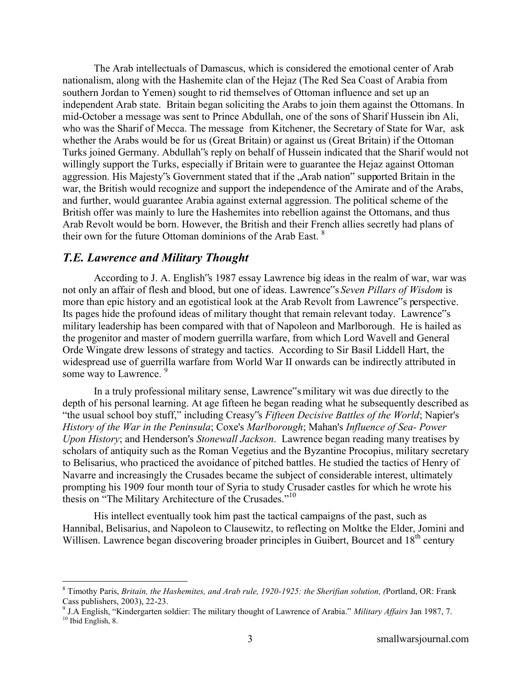The Arab intellectuals of Damascus, which is considered the emotional center of Arab nationalism, along with the Hashemite clan of the Hejaz (The Red Sea Coast of Arabia from southern Jordan to Yemen) sought to rid themselves of Ottoman influence and set up an independent Arab state. Britain began soliciting the Arabs to join them against the Ottomans. In mid-October a message was sent to Prince Abdullah, one of the sons of Sharif Hussein ibn Ali, who was the Sharif of Mecca. The message from Kitchener, the Secretary of State for War, ask whether the Arabs would be for us (Great Britain) or against us (Great Britain) if the Ottoman Turks joined Germany. Abdullah"s reply on behalf of Hussein indicated that the Sharif would not willingly support the Turks, especially if Britain were to guarantee the Hejaz against Ottoman aggression. His Majesty's Government stated that if the , Arab nation" supported Britain in the war, the British would recognize and support the independence of the Amirate and of the Arabs, and further, would guarantee Arabia against external aggression. The political scheme of the British offer was mainly to lure the Hashemites into rebellion against the Ottomans, and thus Arab Revolt would be born. However, the British and their French allies secretly had plans of their own for the future Ottoman dominions of the Arab East.<sup>8</sup>

#### *T.E. Lawrence and Military Thought*

 $\overline{a}$ 

According to J. A. English"s 1987 essay Lawrence big ideas in the realm of war, war was not only an affair of flesh and blood, but one of ideas. Lawrence"s *Seven Pillars of Wisdom* is more than epic history and an egotistical look at the Arab Revolt from Lawrence"s perspective. Its pages hide the profound ideas of military thought that remain relevant today. Lawrence"s military leadership has been compared with that of Napoleon and Marlborough. He is hailed as the progenitor and master of modern guerrilla warfare, from which Lord Wavell and General Orde Wingate drew lessons of strategy and tactics. According to Sir Basil Liddell Hart, the widespread use of guerrilla warfare from World War II onwards can be indirectly attributed in some way to Lawrence. <sup>9</sup>

In a truly professional military sense, Lawrence"s military wit was due directly to the depth of his personal learning. At age fifteen he began reading what he subsequently described as "the usual school boy stuff," including Creasy"s *Fifteen Decisive Battles of the World*; Napier's *History of the War in the Peninsula*; Coxe's *Marlborough*; Mahan's *Influence of Sea- Power Upon History*; and Henderson's *Stonewall Jackson*. Lawrence began reading many treatises by scholars of antiquity such as the Roman Vegetius and the Byzantine Procopius, military secretary to Belisarius, who practiced the avoidance of pitched battles. He studied the tactics of Henry of Navarre and increasingly the Crusades became the subject of considerable interest, ultimately prompting his 1909 four month tour of Syria to study Crusader castles for which he wrote his thesis on "The Military Architecture of the Crusades."<sup>10</sup>

His intellect eventually took him past the tactical campaigns of the past, such as Hannibal, Belisarius, and Napoleon to Clausewitz, to reflecting on Moltke the Elder, Jomini and Willisen. Lawrence began discovering broader principles in Guibert, Bourcet and 18<sup>th</sup> century

<sup>8</sup> Timothy Paris, *Britain, the Hashemites, and Arab rule, 1920-1925: the Sherifian solution, (*Portland, OR: Frank

Cass publishers, 2003), 22-23. 9 J.A English, "Kindergarten soldier: The military thought of Lawrence of Arabia." *Military Affairs* Jan 1987, 7.  $10$  Ibid English, 8.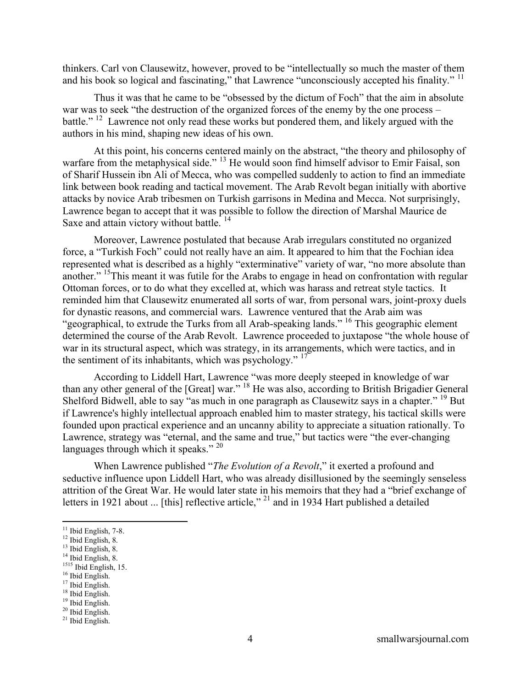thinkers. Carl von Clausewitz, however, proved to be "intellectually so much the master of them and his book so logical and fascinating," that Lawrence "unconsciously accepted his finality." <sup>11</sup>

Thus it was that he came to be "obsessed by the dictum of Foch" that the aim in absolute war was to seek "the destruction of the organized forces of the enemy by the one process – battle." <sup>12</sup> Lawrence not only read these works but pondered them, and likely argued with the authors in his mind, shaping new ideas of his own.

At this point, his concerns centered mainly on the abstract, "the theory and philosophy of warfare from the metaphysical side." <sup>13</sup> He would soon find himself advisor to Emir Faisal, son of Sharif Hussein ibn Ali of Mecca, who was compelled suddenly to action to find an immediate link between book reading and tactical movement. The Arab Revolt began initially with abortive attacks by novice Arab tribesmen on Turkish garrisons in Medina and Mecca. Not surprisingly, Lawrence began to accept that it was possible to follow the direction of Marshal Maurice de Saxe and attain victory without battle.  $14$ 

Moreover, Lawrence postulated that because Arab irregulars constituted no organized force, a "Turkish Foch" could not really have an aim. It appeared to him that the Fochian idea represented what is described as a highly "exterminative" variety of war, "no more absolute than another." <sup>15</sup>This meant it was futile for the Arabs to engage in head on confrontation with regular Ottoman forces, or to do what they excelled at, which was harass and retreat style tactics. It reminded him that Clausewitz enumerated all sorts of war, from personal wars, joint-proxy duels for dynastic reasons, and commercial wars. Lawrence ventured that the Arab aim was "geographical, to extrude the Turks from all Arab-speaking lands." <sup>16</sup> This geographic element determined the course of the Arab Revolt. Lawrence proceeded to juxtapose "the whole house of war in its structural aspect, which was strategy, in its arrangements, which were tactics, and in the sentiment of its inhabitants, which was psychology."<sup>17</sup>

According to Liddell Hart, Lawrence "was more deeply steeped in knowledge of war than any other general of the [Great] war." <sup>18</sup> He was also, according to British Brigadier General Shelford Bidwell, able to say "as much in one paragraph as Clausewitz says in a chapter." <sup>19</sup> But if Lawrence's highly intellectual approach enabled him to master strategy, his tactical skills were founded upon practical experience and an uncanny ability to appreciate a situation rationally. To Lawrence, strategy was "eternal, and the same and true," but tactics were "the ever-changing languages through which it speaks."  $20$ 

When Lawrence published "*The Evolution of a Revolt*," it exerted a profound and seductive influence upon Liddell Hart, who was already disillusioned by the seemingly senseless attrition of the Great War. He would later state in his memoirs that they had a "brief exchange of letters in 1921 about ... [this] reflective article,"<sup>21</sup> and in 1934 Hart published a detailed

 $\overline{a}$ 

<sup>17</sup> Ibid English. <sup>18</sup> Ibid English.

 $11$  Ibid English, 7-8.

<sup>12</sup> Ibid English, 8.

<sup>&</sup>lt;sup>13</sup> Ibid English, 8.

<sup>&</sup>lt;sup>14</sup> Ibid English, 8. <sup>1515</sup> Ibid English, 15.

<sup>&</sup>lt;sup>16</sup> Ibid English.

<sup>19</sup> Ibid English.

<sup>&</sup>lt;sup>20</sup> Ibid English.

<sup>21</sup> Ibid English.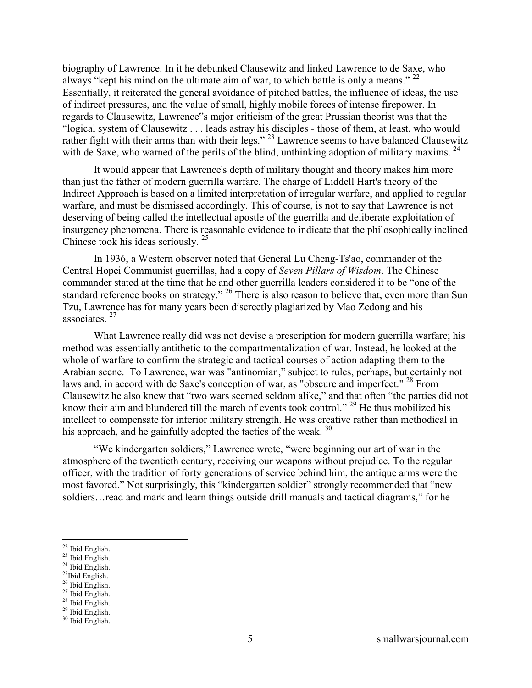biography of Lawrence. In it he debunked Clausewitz and linked Lawrence to de Saxe, who always "kept his mind on the ultimate aim of war, to which battle is only a means."  $^{22}$ Essentially, it reiterated the general avoidance of pitched battles, the influence of ideas, the use of indirect pressures, and the value of small, highly mobile forces of intense firepower. In regards to Clausewitz, Lawrence"s major criticism of the great Prussian theorist was that the "logical system of Clausewitz . . . leads astray his disciples - those of them, at least, who would rather fight with their arms than with their legs."<sup>23</sup> Lawrence seems to have balanced Clausewitz with de Saxe, who warned of the perils of the blind, unthinking adoption of military maxims.  $24$ 

It would appear that Lawrence's depth of military thought and theory makes him more than just the father of modern guerrilla warfare. The charge of Liddell Hart's theory of the Indirect Approach is based on a limited interpretation of irregular warfare, and applied to regular warfare, and must be dismissed accordingly. This of course, is not to say that Lawrence is not deserving of being called the intellectual apostle of the guerrilla and deliberate exploitation of insurgency phenomena. There is reasonable evidence to indicate that the philosophically inclined Chinese took his ideas seriously. <sup>25</sup>

In 1936, a Western observer noted that General Lu Cheng-Ts'ao, commander of the Central Hopei Communist guerrillas, had a copy of *Seven Pillars of Wisdom*. The Chinese commander stated at the time that he and other guerrilla leaders considered it to be "one of the standard reference books on strategy." <sup>26</sup> There is also reason to believe that, even more than Sun Tzu, Lawrence has for many years been discreetly plagiarized by Mao Zedong and his associates. <sup>27</sup>

What Lawrence really did was not devise a prescription for modern guerrilla warfare; his method was essentially antithetic to the compartmentalization of war. Instead, he looked at the whole of warfare to confirm the strategic and tactical courses of action adapting them to the Arabian scene. To Lawrence, war was "antinomian," subject to rules, perhaps, but certainly not laws and, in accord with de Saxe's conception of war, as "obscure and imperfect." <sup>28</sup> From Clausewitz he also knew that "two wars seemed seldom alike," and that often "the parties did not know their aim and blundered till the march of events took control." <sup>29</sup> He thus mobilized his intellect to compensate for inferior military strength. He was creative rather than methodical in his approach, and he gainfully adopted the tactics of the weak.  $30$ 

"We kindergarten soldiers," Lawrence wrote, "were beginning our art of war in the atmosphere of the twentieth century, receiving our weapons without prejudice. To the regular officer, with the tradition of forty generations of service behind him, the antique arms were the most favored." Not surprisingly, this "kindergarten soldier" strongly recommended that "new soldiers…read and mark and learn things outside drill manuals and tactical diagrams," for he

 $\overline{a}$ 

<sup>26</sup> Ibid English.

<sup>&</sup>lt;sup>22</sup> Ibid English.

 $^{23}$  Ibid English.

 $24$  Ibid English.

 $25$ Ibid English.

<sup>27</sup> Ibid English. <sup>28</sup> Ibid English.

<sup>29</sup> Ibid English.

<sup>30</sup> Ibid English.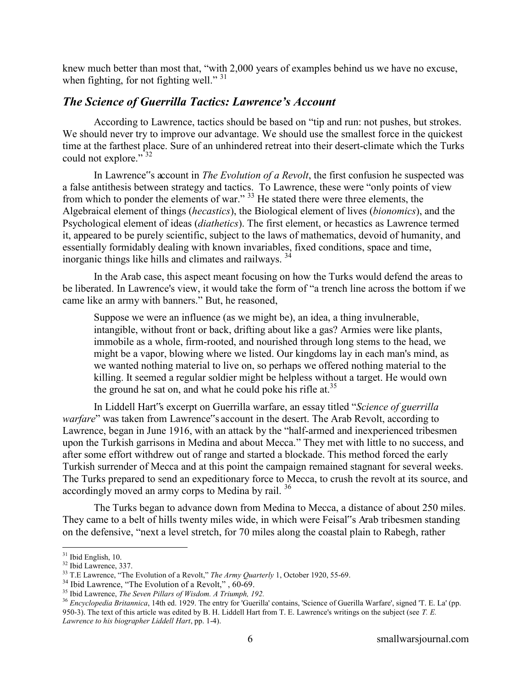knew much better than most that, "with 2,000 years of examples behind us we have no excuse, when fighting, for not fighting well."  $31$ 

#### *The Science of Guerrilla Tactics: Lawrence's Account*

According to Lawrence, tactics should be based on "tip and run: not pushes, but strokes. We should never try to improve our advantage. We should use the smallest force in the quickest time at the farthest place. Sure of an unhindered retreat into their desert-climate which the Turks could not explore."<sup>32</sup>

In Lawrence"s account in *The Evolution of a Revolt*, the first confusion he suspected was a false antithesis between strategy and tactics. To Lawrence, these were "only points of view from which to ponder the elements of war."<sup>33</sup> He stated there were three elements, the Algebraical element of things (*hecastics*), the Biological element of lives (*bionomics*), and the Psychological element of ideas (*diathetics*). The first element, or hecastics as Lawrence termed it, appeared to be purely scientific, subject to the laws of mathematics, devoid of humanity, and essentially formidably dealing with known invariables, fixed conditions, space and time, inorganic things like hills and climates and railways. <sup>34</sup>

In the Arab case, this aspect meant focusing on how the Turks would defend the areas to be liberated. In Lawrence's view, it would take the form of "a trench line across the bottom if we came like an army with banners." But, he reasoned,

Suppose we were an influence (as we might be), an idea, a thing invulnerable, intangible, without front or back, drifting about like a gas? Armies were like plants, immobile as a whole, firm-rooted, and nourished through long stems to the head, we might be a vapor, blowing where we listed. Our kingdoms lay in each man's mind, as we wanted nothing material to live on, so perhaps we offered nothing material to the killing. It seemed a regular soldier might be helpless without a target. He would own the ground he sat on, and what he could poke his rifle at.<sup>35</sup>

In Liddell Hart"s excerpt on Guerrilla warfare, an essay titled "*Science of guerrilla warfare*" was taken from Lawrence"s account in the desert. The Arab Revolt, according to Lawrence, began in June 1916, with an attack by the "half-armed and inexperienced tribesmen upon the Turkish garrisons in Medina and about Mecca." They met with little to no success, and after some effort withdrew out of range and started a blockade. This method forced the early Turkish surrender of Mecca and at this point the campaign remained stagnant for several weeks. The Turks prepared to send an expeditionary force to Mecca, to crush the revolt at its source, and accordingly moved an army corps to Medina by rail.<sup>36</sup>

The Turks began to advance down from Medina to Mecca, a distance of about 250 miles. They came to a belt of hills twenty miles wide, in which were Feisal"s Arab tribesmen standing on the defensive, "next a level stretch, for 70 miles along the coastal plain to Rabegh, rather

 $\overline{a}$  $31$  Ibid English, 10.

<sup>&</sup>lt;sup>32</sup> Ibid Lawrence, 337.

<sup>&</sup>lt;sup>33</sup> T.E Lawrence, "The Evolution of a Revolt," *The Army Quarterly* 1, October 1920, 55-69.

<sup>&</sup>lt;sup>34</sup> Ibid Lawrence, "The Evolution of a Revolt,", 60-69.

<sup>35</sup> Ibid Lawrence, *The Seven Pillars of Wisdom. A Triumph, 192.*

<sup>36</sup> *Encyclopedia Britannica*, 14th ed. 1929. The entry for 'Guerilla' contains, 'Science of Guerilla Warfare', signed 'T. E. La' (pp. 950-3). The text of this article was edited by B. H. Liddell Hart from T. E. Lawrence's writings on the subject (see *T. E. Lawrence to his biographer Liddell Hart*, pp. 1-4).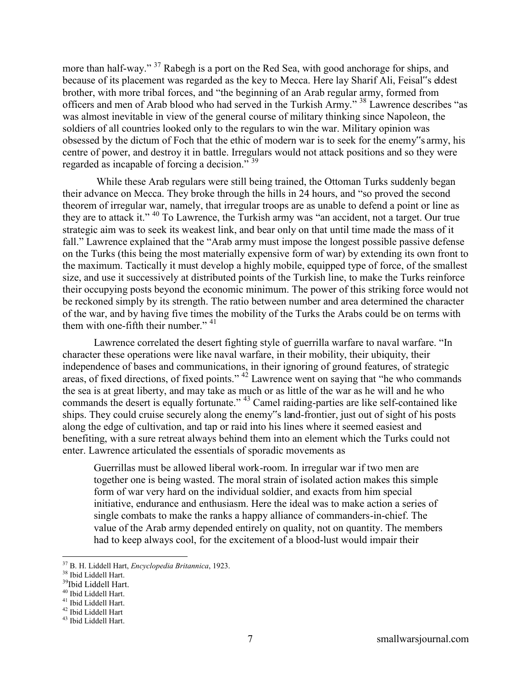more than half-way." <sup>37</sup> Rabegh is a port on the Red Sea, with good anchorage for ships, and because of its placement was regarded as the key to Mecca. Here lay Sharif Ali, Feisal is eldest brother, with more tribal forces, and "the beginning of an Arab regular army, formed from officers and men of Arab blood who had served in the Turkish Army." <sup>38</sup> Lawrence describes "as was almost inevitable in view of the general course of military thinking since Napoleon, the soldiers of all countries looked only to the regulars to win the war. Military opinion was obsessed by the dictum of Foch that the ethic of modern war is to seek for the enemy"s army, his centre of power, and destroy it in battle. Irregulars would not attack positions and so they were regarded as incapable of forcing a decision." <sup>39</sup>

While these Arab regulars were still being trained, the Ottoman Turks suddenly began their advance on Mecca. They broke through the hills in 24 hours, and "so proved the second theorem of irregular war, namely, that irregular troops are as unable to defend a point or line as they are to attack it." <sup>40</sup> To Lawrence, the Turkish army was "an accident, not a target. Our true strategic aim was to seek its weakest link, and bear only on that until time made the mass of it fall." Lawrence explained that the "Arab army must impose the longest possible passive defense on the Turks (this being the most materially expensive form of war) by extending its own front to the maximum. Tactically it must develop a highly mobile, equipped type of force, of the smallest size, and use it successively at distributed points of the Turkish line, to make the Turks reinforce their occupying posts beyond the economic minimum. The power of this striking force would not be reckoned simply by its strength. The ratio between number and area determined the character of the war, and by having five times the mobility of the Turks the Arabs could be on terms with them with one-fifth their number." <sup>41</sup>

Lawrence correlated the desert fighting style of guerrilla warfare to naval warfare. "In character these operations were like naval warfare, in their mobility, their ubiquity, their independence of bases and communications, in their ignoring of ground features, of strategic areas, of fixed directions, of fixed points."<sup>42</sup> Lawrence went on saying that "he who commands" the sea is at great liberty, and may take as much or as little of the war as he will and he who commands the desert is equally fortunate." <sup>43</sup> Camel raiding-parties are like self-contained like ships. They could cruise securely along the enemy"s land-frontier, just out of sight of his posts along the edge of cultivation, and tap or raid into his lines where it seemed easiest and benefiting, with a sure retreat always behind them into an element which the Turks could not enter. Lawrence articulated the essentials of sporadic movements as

Guerrillas must be allowed liberal work-room. In irregular war if two men are together one is being wasted. The moral strain of isolated action makes this simple form of war very hard on the individual soldier, and exacts from him special initiative, endurance and enthusiasm. Here the ideal was to make action a series of single combats to make the ranks a happy alliance of commanders-in-chief. The value of the Arab army depended entirely on quality, not on quantity. The members had to keep always cool, for the excitement of a blood-lust would impair their

<sup>37</sup> B. H. Liddell Hart, *Encyclopedia Britannica*, 1923.

<sup>38</sup> Ibid Liddell Hart.

<sup>39</sup>Ibid Liddell Hart.

<sup>40</sup> Ibid Liddell Hart.

<sup>41</sup> Ibid Liddell Hart. <sup>42</sup> Ibid Liddell Hart

<sup>43</sup> Ibid Liddell Hart.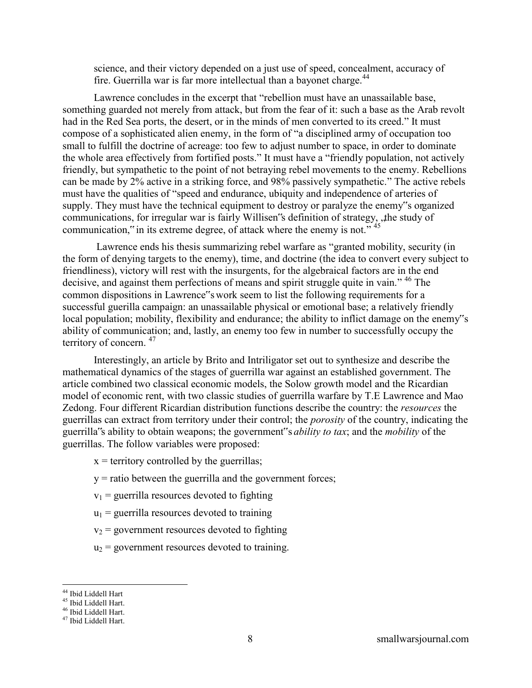science, and their victory depended on a just use of speed, concealment, accuracy of fire. Guerrilla war is far more intellectual than a bayonet charge.<sup>44</sup>

Lawrence concludes in the excerpt that "rebellion must have an unassailable base, something guarded not merely from attack, but from the fear of it: such a base as the Arab revolt had in the Red Sea ports, the desert, or in the minds of men converted to its creed." It must compose of a sophisticated alien enemy, in the form of "a disciplined army of occupation too small to fulfill the doctrine of acreage: too few to adjust number to space, in order to dominate the whole area effectively from fortified posts." It must have a "friendly population, not actively friendly, but sympathetic to the point of not betraying rebel movements to the enemy. Rebellions can be made by 2% active in a striking force, and 98% passively sympathetic." The active rebels must have the qualities of "speed and endurance, ubiquity and independence of arteries of supply. They must have the technical equipment to destroy or paralyze the enemy"s organized communications, for irregular war is fairly Willisen's definition of strategy, the study of communication," in its extreme degree, of attack where the enemy is not." <sup>45</sup>

 Lawrence ends his thesis summarizing rebel warfare as "granted mobility, security (in the form of denying targets to the enemy), time, and doctrine (the idea to convert every subject to friendliness), victory will rest with the insurgents, for the algebraical factors are in the end decisive, and against them perfections of means and spirit struggle quite in vain." <sup>46</sup> The common dispositions in Lawrence"s work seem to list the following requirements for a successful guerilla campaign: an unassailable physical or emotional base; a relatively friendly local population; mobility, flexibility and endurance; the ability to inflict damage on the enemy"s ability of communication; and, lastly, an enemy too few in number to successfully occupy the territory of concern. <sup>47</sup>

Interestingly, an article by Brito and Intriligator set out to synthesize and describe the mathematical dynamics of the stages of guerrilla war against an established government. The article combined two classical economic models, the Solow growth model and the Ricardian model of economic rent, with two classic studies of guerrilla warfare by T.E Lawrence and Mao Zedong. Four different Ricardian distribution functions describe the country: the *resources* the guerrillas can extract from territory under their control; the *porosity* of the country, indicating the guerrilla"s ability to obtain weapons; the government"s *ability to tax*; and the *mobility* of the guerrillas. The follow variables were proposed:

- $x =$  territory controlled by the guerrillas;
- $y =$  ratio between the guerrilla and the government forces;
- $v_1$  = guerrilla resources devoted to fighting
- $u_1$  = guerrilla resources devoted to training
- $v_2$  = government resources devoted to fighting
- $u_2$  = government resources devoted to training.

<sup>44</sup> Ibid Liddell Hart

<sup>45</sup> Ibid Liddell Hart.

<sup>46</sup> Ibid Liddell Hart.

<sup>47</sup> Ibid Liddell Hart.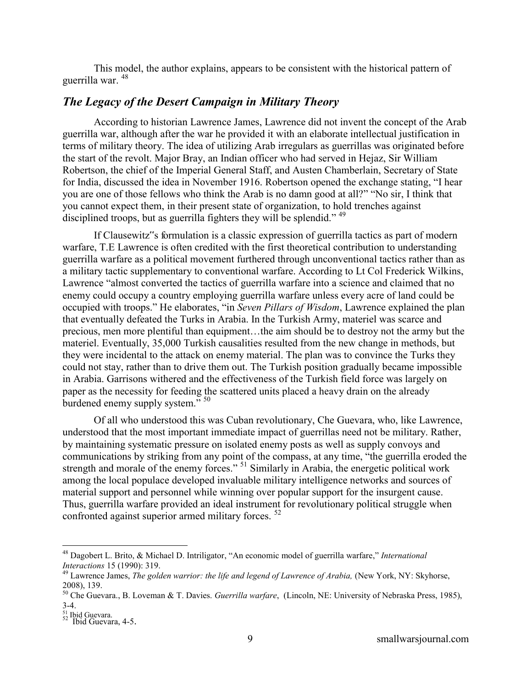This model, the author explains, appears to be consistent with the historical pattern of guerrilla war. <sup>48</sup>

#### *The Legacy of the Desert Campaign in Military Theory*

According to historian Lawrence James, Lawrence did not invent the concept of the Arab guerrilla war, although after the war he provided it with an elaborate intellectual justification in terms of military theory. The idea of utilizing Arab irregulars as guerrillas was originated before the start of the revolt. Major Bray, an Indian officer who had served in Hejaz, Sir William Robertson, the chief of the Imperial General Staff, and Austen Chamberlain, Secretary of State for India, discussed the idea in November 1916. Robertson opened the exchange stating, "I hear you are one of those fellows who think the Arab is no damn good at all?" "No sir, I think that you cannot expect them, in their present state of organization, to hold trenches against disciplined troops, but as guerrilla fighters they will be splendid."<sup>49</sup>

If Clausewitz"s formulation is a classic expression of guerrilla tactics as part of modern warfare, T.E Lawrence is often credited with the first theoretical contribution to understanding guerrilla warfare as a political movement furthered through unconventional tactics rather than as a military tactic supplementary to conventional warfare. According to Lt Col Frederick Wilkins, Lawrence "almost converted the tactics of guerrilla warfare into a science and claimed that no enemy could occupy a country employing guerrilla warfare unless every acre of land could be occupied with troops." He elaborates, "in *Seven Pillars of Wisdom*, Lawrence explained the plan that eventually defeated the Turks in Arabia. In the Turkish Army, materiel was scarce and precious, men more plentiful than equipment…the aim should be to destroy not the army but the materiel. Eventually, 35,000 Turkish causalities resulted from the new change in methods, but they were incidental to the attack on enemy material. The plan was to convince the Turks they could not stay, rather than to drive them out. The Turkish position gradually became impossible in Arabia. Garrisons withered and the effectiveness of the Turkish field force was largely on paper as the necessity for feeding the scattered units placed a heavy drain on the already burdened enemy supply system."<sup>50</sup>

Of all who understood this was Cuban revolutionary, Che Guevara, who, like Lawrence, understood that the most important immediate impact of guerrillas need not be military. Rather, by maintaining systematic pressure on isolated enemy posts as well as supply convoys and communications by striking from any point of the compass, at any time, "the guerrilla eroded the strength and morale of the enemy forces." <sup>51</sup> Similarly in Arabia, the energetic political work among the local populace developed invaluable military intelligence networks and sources of material support and personnel while winning over popular support for the insurgent cause. Thus, guerrilla warfare provided an ideal instrument for revolutionary political struggle when confronted against superior armed military forces. <sup>52</sup>

<sup>48</sup> Dagobert L. Brito, & Michael D. Intriligator, "An economic model of guerrilla warfare," *International Interactions* 15 (1990): 319.

<sup>&</sup>lt;sup>49</sup> Lawrence James, *The golden warrior: the life and legend of Lawrence of Arabia,* (New York, NY: Skyhorse, 2008), 139.

<sup>50</sup> Che Guevara., B. Loveman & T. Davies. *Guerrilla warfare*, (Lincoln, NE: University of Nebraska Press, 1985), 3-4.

<sup>&</sup>lt;sup>51</sup> Ibid Guevara.<br><sup>52</sup> Ibid Guevara, 4-5.